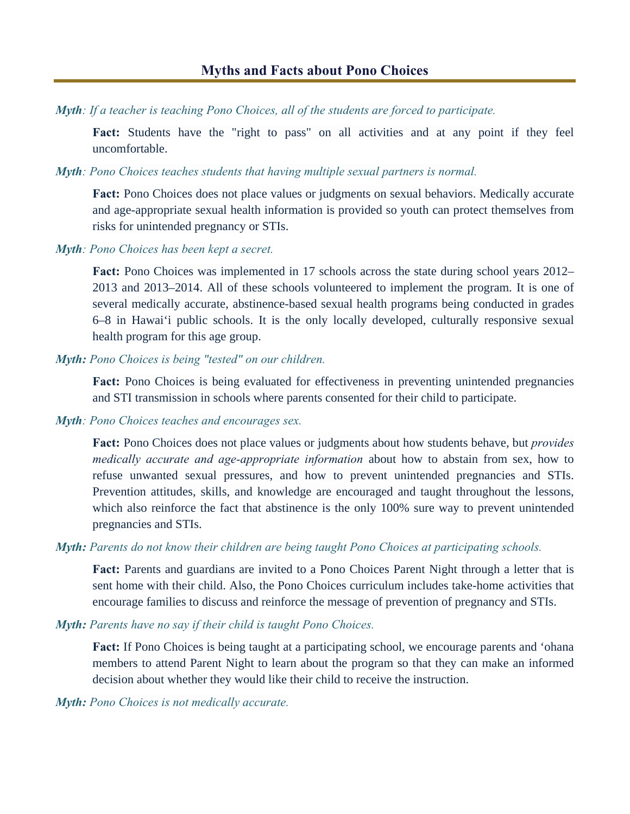*Myth: If a teacher is teaching Pono Choices, all of the students are forced to participate.* 

**Fact:** Students have the "right to pass" on all activities and at any point if they feel uncomfortable.

*Myth: Pono Choices teaches students that having multiple sexual partners is normal.* 

**Fact:** Pono Choices does not place values or judgments on sexual behaviors. Medically accurate and age-appropriate sexual health information is provided so youth can protect themselves from risks for unintended pregnancy or STIs.

*Myth: Pono Choices has been kept a secret.*

Fact: Pono Choices was implemented in 17 schools across the state during school years 2012– 2013 and 2013–2014. All of these schools volunteered to implement the program. It is one of several medically accurate, abstinence-based sexual health programs being conducted in grades 6–8 in Hawai'i public schools. It is the only locally developed, culturally responsive sexual health program for this age group.

*Myth: Pono Choices is being "tested" on our children.*

**Fact:** Pono Choices is being evaluated for effectiveness in preventing unintended pregnancies and STI transmission in schools where parents consented for their child to participate.

#### *Myth: Pono Choices teaches and encourages sex.*

**Fact:** Pono Choices does not place values or judgments about how students behave, but *provides medically accurate and age-appropriate information* about how to abstain from sex, how to refuse unwanted sexual pressures, and how to prevent unintended pregnancies and STIs. Prevention attitudes, skills, and knowledge are encouraged and taught throughout the lessons, which also reinforce the fact that abstinence is the only 100% sure way to prevent unintended pregnancies and STIs.

## *Myth: Parents do not know their children are being taught Pono Choices at participating schools.*

Fact: Parents and guardians are invited to a Pono Choices Parent Night through a letter that is sent home with their child. Also, the Pono Choices curriculum includes take-home activities that encourage families to discuss and reinforce the message of prevention of pregnancy and STIs.

*Myth: Parents have no say if their child is taught Pono Choices.*

Fact: If Pono Choices is being taught at a participating school, we encourage parents and 'ohana members to attend Parent Night to learn about the program so that they can make an informed decision about whether they would like their child to receive the instruction.

*Myth: Pono Choices is not medically accurate.*